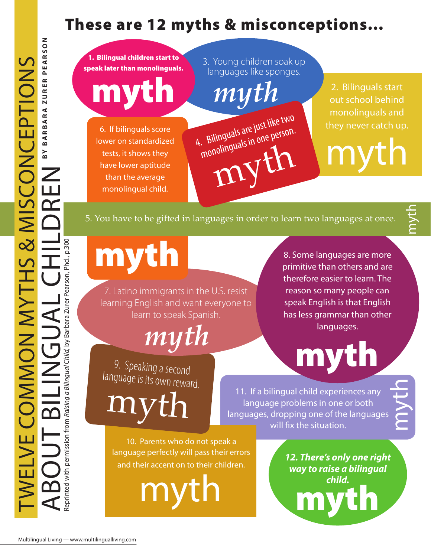## These are 12 myths & misconceptions…

**BY BARBARA ZURER PEARSON arbara Zurer Pearson** tions Misconcep CHILDREN **"** Z ய THS & Bilingual  $\succ$  $\boldsymbol{\Sigma}$ Twelve common  $\vdash$ abou

1. Bilingual children start to speak later than monolinguals.

myth *myth*

3. Young children soak up languages like sponges.

6. If bilinguals score lower on standardized tests, it shows they have lower aptitude than the average monolingual child.

myth 4. Bilinguals are just like two monolinguals in one person.

2. Bilinguals start out school behind monolinguals and they never catch up.

myth

myth

myth

5. You have to be gifted in languages in order to learn two languages at once.

## myth

7. Latino immigrants in the U.S. resist learning English and want everyone to learn to speak Spanish.

8. Some languages are more primitive than others and are therefore easier to learn. The reason so many people can speak English is that English has less grammar than other languages.



myth 9. Speaking a second language is its own reward.

11. If a bilingual child experiences any language problems in one or both languages, dropping one of the languages will fix the situation.

10. Parents who do not speak a language perfectly will pass their errors and their accent on to their children.

myth myth *12. There's only one right way to raise a bilingual child.*

Reprinted with permission from *Raising a Bilingual Child,* by Barbara Zurer Pearson, Phd., p.300

eprinted with permission from *Raisina a Bilingual Child*, by Barbara Zurer Pearson, Phd., p.300